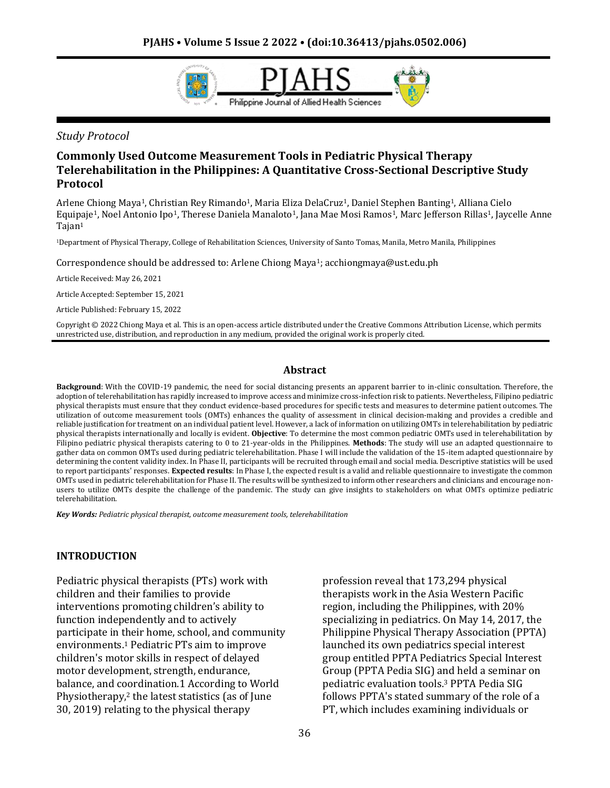

*Study Protocol*

## **Commonly Used Outcome Measurement Tools in Pediatric Physical Therapy Telerehabilitation in the Philippines: A Quantitative Cross-Sectional Descriptive Study Protocol**

Arlene Chiong Maya1, Christian Rey Rimando1, Maria Eliza DelaCruz1, Daniel Stephen Banting1, Alliana Cielo Equipaje<sup>1</sup>, Noel Antonio Ipo<sup>1</sup>, Therese Daniela Manaloto<sup>1</sup>, Jana Mae Mosi Ramos<sup>1</sup>, Marc Jefferson Rillas<sup>1</sup>, Jaycelle Anne Tajan<sup>1</sup>

<sup>1</sup>Department of Physical Therapy, College of Rehabilitation Sciences, University of Santo Tomas, Manila, Metro Manila, Philippines

Correspondence should be addressed to: Arlene Chiong Maya1; acchiongmaya@ust.edu.ph

Article Received: May 26, 2021

Article Accepted: September 15, 2021

Article Published: February 15, 2022

Copyright © 2022 Chiong Maya et al. This is an open-access article distributed under the Creative Commons Attribution License, which permits unrestricted use, distribution, and reproduction in any medium, provided the original work is properly cited.

#### **Abstract**

**Background**: With the COVID-19 pandemic, the need for social distancing presents an apparent barrier to in-clinic consultation. Therefore, the adoption of telerehabilitation has rapidly increased to improve access and minimize cross-infection risk to patients. Nevertheless, Filipino pediatric physical therapists must ensure that they conduct evidence-based procedures for specific tests and measures to determine patient outcomes. The utilization of outcome measurement tools (OMTs) enhances the quality of assessment in clinical decision-making and provides a credible and reliable justification for treatment on an individual patient level. However, a lack of information on utilizing OMTs in telerehabilitation by pediatric physical therapists internationally and locally is evident. **Objective**: To determine the most common pediatric OMTs used in telerehabilitation by Filipino pediatric physical therapists catering to 0 to 21-year-olds in the Philippines. **Methods**: The study will use an adapted questionnaire to gather data on common OMTs used during pediatric telerehabilitation. Phase I will include the validation of the 15-item adapted questionnaire by determining the content validity index. In Phase II, participants will be recruited through email and social media. Descriptive statistics will be used to report participants' responses. **Expected results**: In Phase I, the expected result is a valid and reliable questionnaire to investigate the common OMTs used in pediatric telerehabilitation for Phase II. The results will be synthesized to inform other researchers and clinicians and encourage nonusers to utilize OMTs despite the challenge of the pandemic. The study can give insights to stakeholders on what OMTs optimize pediatric telerehabilitation.

*Key Words: Pediatric physical therapist, outcome measurement tools, telerehabilitation*

#### **INTRODUCTION**

Pediatric physical therapists (PTs) work with children and their families to provide interventions promoting children's ability to function independently and to actively participate in their home, school, and community environments.<sup>1</sup> Pediatric PTs aim to improve children's motor skills in respect of delayed motor development, strength, endurance, balance, and coordination.1 According to World Physiotherapy,<sup>2</sup> the latest statistics (as of June 30, 2019) relating to the physical therapy

profession reveal that 173,294 physical therapists work in the Asia Western Pacific region, including the Philippines, with 20% specializing in pediatrics. On May 14, 2017, the Philippine Physical Therapy Association (PPTA) launched its own pediatrics special interest group entitled PPTA Pediatrics Special Interest Group (PPTA Pedia SIG) and held a seminar on pediatric evaluation tools.<sup>3</sup> PPTA Pedia SIG follows PPTA's stated summary of the role of a PT, which includes examining individuals or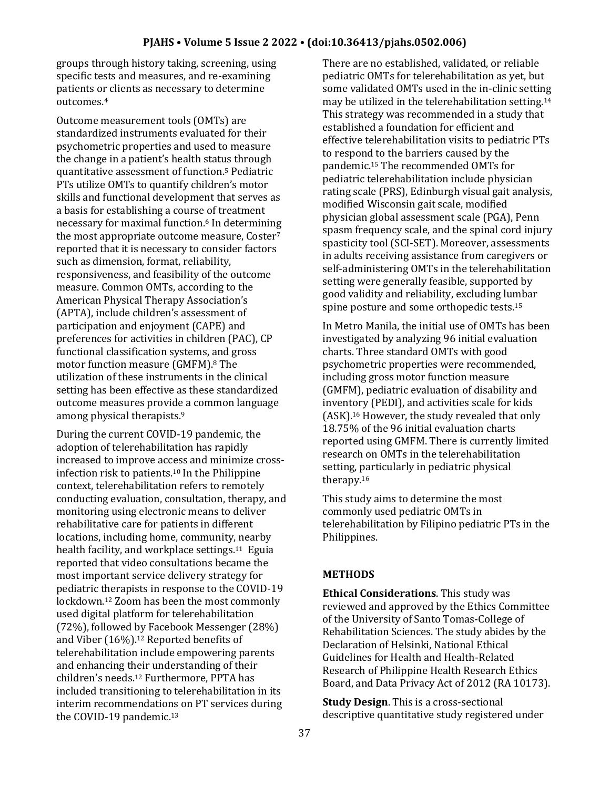groups through history taking, screening, using specific tests and measures, and re-examining patients or clients as necessary to determine outcomes.<sup>4</sup>

Outcome measurement tools (OMTs) are standardized instruments evaluated for their psychometric properties and used to measure the change in a patient's health status through quantitative assessment of function.<sup>5</sup> Pediatric PTs utilize OMTs to quantify children's motor skills and functional development that serves as a basis for establishing a course of treatment necessary for maximal function.<sup>6</sup> In determining the most appropriate outcome measure, Coster<sup>7</sup> reported that it is necessary to consider factors such as dimension, format, reliability, responsiveness, and feasibility of the outcome measure. Common OMTs, according to the American Physical Therapy Association's (APTA), include children's assessment of participation and enjoyment (CAPE) and preferences for activities in children (PAC), CP functional classification systems, and gross motor function measure (GMFM).<sup>8</sup> The utilization of these instruments in the clinical setting has been effective as these standardized outcome measures provide a common language among physical therapists.<sup>9</sup>

During the current COVID-19 pandemic, the adoption of telerehabilitation has rapidly increased to improve access and minimize crossinfection risk to patients.<sup>10</sup> In the Philippine context, telerehabilitation refers to remotely conducting evaluation, consultation, therapy, and monitoring using electronic means to deliver rehabilitative care for patients in different locations, including home, community, nearby health facility, and workplace settings.11 Eguia reported that video consultations became the most important service delivery strategy for pediatric therapists in response to the COVID-19 lockdown.<sup>12</sup> Zoom has been the most commonly used digital platform for telerehabilitation (72%), followed by Facebook Messenger (28%) and Viber (16%).<sup>12</sup> Reported benefits of telerehabilitation include empowering parents and enhancing their understanding of their children's needs.<sup>12</sup> Furthermore, PPTA has included transitioning to telerehabilitation in its interim recommendations on PT services during the COVID-19 pandemic.<sup>13</sup>

There are no established, validated, or reliable pediatric OMTs for telerehabilitation as yet, but some validated OMTs used in the in-clinic setting may be utilized in the telerehabilitation setting.<sup>14</sup> This strategy was recommended in a study that established a foundation for efficient and effective telerehabilitation visits to pediatric PTs to respond to the barriers caused by the pandemic.<sup>15</sup> The recommended OMTs for pediatric telerehabilitation include physician rating scale (PRS), Edinburgh visual gait analysis, modified Wisconsin gait scale, modified physician global assessment scale (PGA), Penn spasm frequency scale, and the spinal cord injury spasticity tool (SCI-SET). Moreover, assessments in adults receiving assistance from caregivers or self-administering OMTs in the telerehabilitation setting were generally feasible, supported by good validity and reliability, excluding lumbar spine posture and some orthopedic tests.<sup>15</sup>

In Metro Manila, the initial use of OMTs has been investigated by analyzing 96 initial evaluation charts. Three standard OMTs with good psychometric properties were recommended, including gross motor function measure (GMFM), pediatric evaluation of disability and inventory (PEDI), and activities scale for kids (ASK).<sup>16</sup> However, the study revealed that only 18.75% of the 96 initial evaluation charts reported using GMFM. There is currently limited research on OMTs in the telerehabilitation setting, particularly in pediatric physical therapy.<sup>16</sup>

This study aims to determine the most commonly used pediatric OMTs in telerehabilitation by Filipino pediatric PTs in the Philippines.

## **METHODS**

**Ethical Considerations**. This study was reviewed and approved by the Ethics Committee of the University of Santo Tomas-College of Rehabilitation Sciences. The study abides by the Declaration of Helsinki, National Ethical Guidelines for Health and Health-Related Research of Philippine Health Research Ethics Board, and Data Privacy Act of 2012 (RA 10173).

**Study Design**. This is a cross-sectional descriptive quantitative study registered under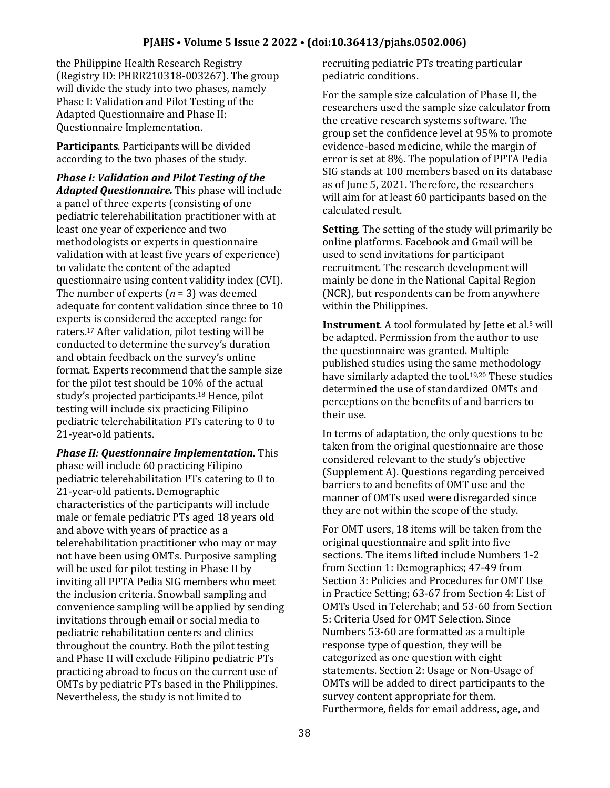#### **PJAHS • Volume 5 Issue 2 2022 • (doi:10.36413/pjahs.0502.006)**

the Philippine Health Research Registry (Registry ID: PHRR210318-003267). The group will divide the study into two phases, namely Phase I: Validation and Pilot Testing of the Adapted Questionnaire and Phase II: Questionnaire Implementation.

**Participants**. Participants will be divided according to the two phases of the study.

*Phase I: Validation and Pilot Testing of the Adapted Questionnaire.* This phase will include a panel of three experts (consisting of one pediatric telerehabilitation practitioner with at least one year of experience and two methodologists or experts in questionnaire validation with at least five years of experience) to validate the content of the adapted questionnaire using content validity index (CVI). The number of experts (*n* = 3) was deemed adequate for content validation since three to 10 experts is considered the accepted range for raters.<sup>17</sup> After validation, pilot testing will be conducted to determine the survey's duration and obtain feedback on the survey's online format. Experts recommend that the sample size for the pilot test should be 10% of the actual study's projected participants.<sup>18</sup> Hence, pilot testing will include six practicing Filipino pediatric telerehabilitation PTs catering to 0 to 21-year-old patients.

*Phase II: Questionnaire Implementation.* This phase will include 60 practicing Filipino pediatric telerehabilitation PTs catering to 0 to 21-year-old patients. Demographic characteristics of the participants will include male or female pediatric PTs aged 18 years old and above with years of practice as a telerehabilitation practitioner who may or may not have been using OMTs. Purposive sampling will be used for pilot testing in Phase II by inviting all PPTA Pedia SIG members who meet the inclusion criteria. Snowball sampling and convenience sampling will be applied by sending invitations through email or social media to pediatric rehabilitation centers and clinics throughout the country. Both the pilot testing and Phase II will exclude Filipino pediatric PTs practicing abroad to focus on the current use of OMTs by pediatric PTs based in the Philippines. Nevertheless, the study is not limited to

recruiting pediatric PTs treating particular pediatric conditions.

For the sample size calculation of Phase II, the researchers used the sample size calculator from the creative research systems software. The group set the confidence level at 95% to promote evidence-based medicine, while the margin of error is set at 8%. The population of PPTA Pedia SIG stands at 100 members based on its database as of June 5, 2021. Therefore, the researchers will aim for at least 60 participants based on the calculated result.

**Setting**. The setting of the study will primarily be online platforms. Facebook and Gmail will be used to send invitations for participant recruitment. The research development will mainly be done in the National Capital Region (NCR), but respondents can be from anywhere within the Philippines.

**Instrument**. A tool formulated by Jette et al.<sup>5</sup> will be adapted. Permission from the author to use the questionnaire was granted. Multiple published studies using the same methodology have similarly adapted the tool.<sup>19,20</sup> These studies determined the use of standardized OMTs and perceptions on the benefits of and barriers to their use.

In terms of adaptation, the only questions to be taken from the original questionnaire are those considered relevant to the study's objective (Supplement A). Questions regarding perceived barriers to and benefits of OMT use and the manner of OMTs used were disregarded since they are not within the scope of the study.

For OMT users, 18 items will be taken from the original questionnaire and split into five sections. The items lifted include Numbers 1-2 from Section 1: Demographics; 47-49 from Section 3: Policies and Procedures for OMT Use in Practice Setting; 63-67 from Section 4: List of OMTs Used in Telerehab; and 53-60 from Section 5: Criteria Used for OMT Selection. Since Numbers 53-60 are formatted as a multiple response type of question, they will be categorized as one question with eight statements. Section 2: Usage or Non-Usage of OMTs will be added to direct participants to the survey content appropriate for them. Furthermore, fields for email address, age, and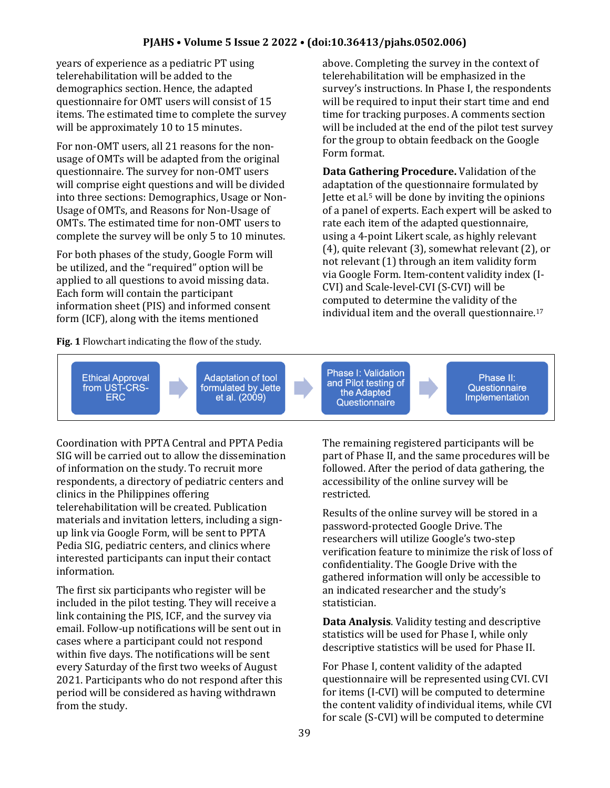### **PJAHS • Volume 5 Issue 2 2022 • (doi:10.36413/pjahs.0502.006)**

years of experience as a pediatric PT using telerehabilitation will be added to the demographics section. Hence, the adapted questionnaire for OMT users will consist of 15 items. The estimated time to complete the survey will be approximately 10 to 15 minutes.

For non-OMT users, all 21 reasons for the nonusage of OMTs will be adapted from the original questionnaire. The survey for non-OMT users will comprise eight questions and will be divided into three sections: Demographics, Usage or Non-Usage of OMTs, and Reasons for Non-Usage of OMTs. The estimated time for non-OMT users to complete the survey will be only 5 to 10 minutes.

For both phases of the study, Google Form will be utilized, and the "required" option will be applied to all questions to avoid missing data. Each form will contain the participant information sheet (PIS) and informed consent form (ICF), along with the items mentioned

**Fig. 1** Flowchart indicating the flow of the study.

above. Completing the survey in the context of telerehabilitation will be emphasized in the survey's instructions. In Phase I, the respondents will be required to input their start time and end time for tracking purposes. A comments section will be included at the end of the pilot test survey for the group to obtain feedback on the Google Form format.

**Data Gathering Procedure.** Validation of the adaptation of the questionnaire formulated by Jette et al.<sup>5</sup> will be done by inviting the opinions of a panel of experts. Each expert will be asked to rate each item of the adapted questionnaire, using a 4-point Likert scale, as highly relevant (4), quite relevant (3), somewhat relevant (2), or not relevant (1) through an item validity form via Google Form. Item-content validity index (I-CVI) and Scale-level-CVI (S-CVI) will be computed to determine the validity of the individual item and the overall questionnaire.<sup>17</sup>



Coordination with PPTA Central and PPTA Pedia SIG will be carried out to allow the dissemination of information on the study. To recruit more respondents, a directory of pediatric centers and clinics in the Philippines offering telerehabilitation will be created. Publication materials and invitation letters, including a signup link via Google Form, will be sent to PPTA Pedia SIG, pediatric centers, and clinics where interested participants can input their contact information.

The first six participants who register will be included in the pilot testing. They will receive a link containing the PIS, ICF, and the survey via email. Follow-up notifications will be sent out in cases where a participant could not respond within five days. The notifications will be sent every Saturday of the first two weeks of August 2021. Participants who do not respond after this period will be considered as having withdrawn from the study.

The remaining registered participants will be part of Phase II, and the same procedures will be followed. After the period of data gathering, the accessibility of the online survey will be restricted.

Results of the online survey will be stored in a password-protected Google Drive. The researchers will utilize Google's two-step verification feature to minimize the risk of loss of confidentiality. The Google Drive with the gathered information will only be accessible to an indicated researcher and the study's statistician.

**Data Analysis**. Validity testing and descriptive statistics will be used for Phase I, while only descriptive statistics will be used for Phase II.

For Phase I, content validity of the adapted questionnaire will be represented using CVI. CVI for items (I-CVI) will be computed to determine the content validity of individual items, while CVI for scale (S-CVI) will be computed to determine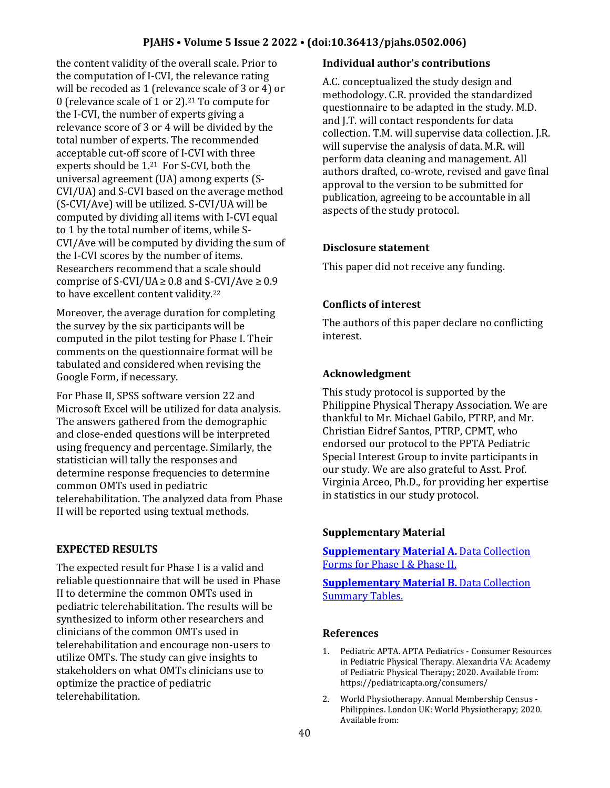## **PJAHS • Volume 5 Issue 2 2022 • (doi:10.36413/pjahs.0502.006)**

the content validity of the overall scale. Prior to the computation of I-CVI, the relevance rating will be recoded as 1 (relevance scale of 3 or 4) or 0 (relevance scale of 1 or 2).<sup>21</sup> To compute for the I-CVI, the number of experts giving a relevance score of 3 or 4 will be divided by the total number of experts. The recommended acceptable cut-off score of I-CVI with three experts should be 1.21 For S-CVI, both the universal agreement (UA) among experts (S-CVI/UA) and S-CVI based on the average method (S-CVI/Ave) will be utilized. S-CVI/UA will be computed by dividing all items with I-CVI equal to 1 by the total number of items, while S-CVI/Ave will be computed by dividing the sum of the I-CVI scores by the number of items. Researchers recommend that a scale should comprise of S-CVI/UA $\geq$  0.8 and S-CVI/Ave  $\geq$  0.9 to have excellent content validity.<sup>22</sup>

Moreover, the average duration for completing the survey by the six participants will be computed in the pilot testing for Phase I. Their comments on the questionnaire format will be tabulated and considered when revising the Google Form, if necessary.

For Phase II, SPSS software version 22 and Microsoft Excel will be utilized for data analysis. The answers gathered from the demographic and close-ended questions will be interpreted using frequency and percentage. Similarly, the statistician will tally the responses and determine response frequencies to determine common OMTs used in pediatric telerehabilitation. The analyzed data from Phase II will be reported using textual methods.

## **EXPECTED RESULTS**

The expected result for Phase I is a valid and reliable questionnaire that will be used in Phase II to determine the common OMTs used in pediatric telerehabilitation. The results will be synthesized to inform other researchers and clinicians of the common OMTs used in telerehabilitation and encourage non-users to utilize OMTs. The study can give insights to stakeholders on what OMTs clinicians use to optimize the practice of pediatric telerehabilitation.

#### **Individual author's contributions**

A.C. conceptualized the study design and methodology. C.R. provided the standardized questionnaire to be adapted in the study. M.D. and J.T. will contact respondents for data collection. T.M. will supervise data collection. J.R. will supervise the analysis of data. M.R. will perform data cleaning and management. All authors drafted, co-wrote, revised and gave final approval to the version to be submitted for publication, agreeing to be accountable in all aspects of the study protocol.

#### **Disclosure statement**

This paper did not receive any funding.

# **Conflicts of interest**

The authors of this paper declare no conflicting interest.

## **Acknowledgment**

This study protocol is supported by the Philippine Physical Therapy Association. We are thankful to Mr. Michael Gabilo, PTRP, and Mr. Christian Eidref Santos, PTRP, CPMT, who endorsed our protocol to the PPTA Pediatric Special Interest Group to invite participants in our study. We are also grateful to Asst. Prof. Virginia Arceo, Ph.D., for providing her expertise in statistics in our study protocol.

## **Supplementary Material**

**[Supplementary Material A.](https://drive.google.com/file/d/1uwJYudW2fqFx6zKMsktQJxbgnbP1M72t/view?usp=sharing)** Data Collection [Forms for Phase I & Phase II.](https://drive.google.com/file/d/1uwJYudW2fqFx6zKMsktQJxbgnbP1M72t/view?usp=sharing)

**[Supplementary Material B.](https://drive.google.com/file/d/1tmH79s-xL7q6LiF1b_RmgHBLuI6LWSEW/view?usp=sharing)** Data Collection [Summary Tables.](https://drive.google.com/file/d/1tmH79s-xL7q6LiF1b_RmgHBLuI6LWSEW/view?usp=sharing)

#### **References**

- 1. Pediatric APTA. APTA Pediatrics Consumer Resources in Pediatric Physical Therapy. Alexandria VA: Academy of Pediatric Physical Therapy; 2020. Available from: https://pediatricapta.org/consumers/
- 2. World Physiotherapy. Annual Membership Census Philippines. London UK: World Physiotherapy; 2020. Available from: